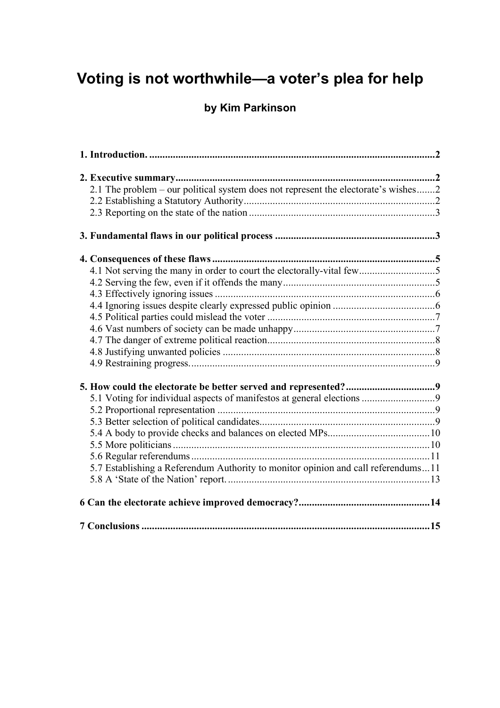# **Voting is not worthwhile—a voter's plea for help**

## **by Kim Parkinson**

| 2.1 The problem – our political system does not represent the electorate's wishes2 |  |
|------------------------------------------------------------------------------------|--|
|                                                                                    |  |
|                                                                                    |  |
|                                                                                    |  |
|                                                                                    |  |
| 4.1 Not serving the many in order to court the electorally-vital few5              |  |
|                                                                                    |  |
|                                                                                    |  |
|                                                                                    |  |
|                                                                                    |  |
|                                                                                    |  |
|                                                                                    |  |
|                                                                                    |  |
|                                                                                    |  |
|                                                                                    |  |
|                                                                                    |  |
|                                                                                    |  |
|                                                                                    |  |
|                                                                                    |  |
|                                                                                    |  |
|                                                                                    |  |
| 5.7 Establishing a Referendum Authority to monitor opinion and call referendums11  |  |
|                                                                                    |  |
|                                                                                    |  |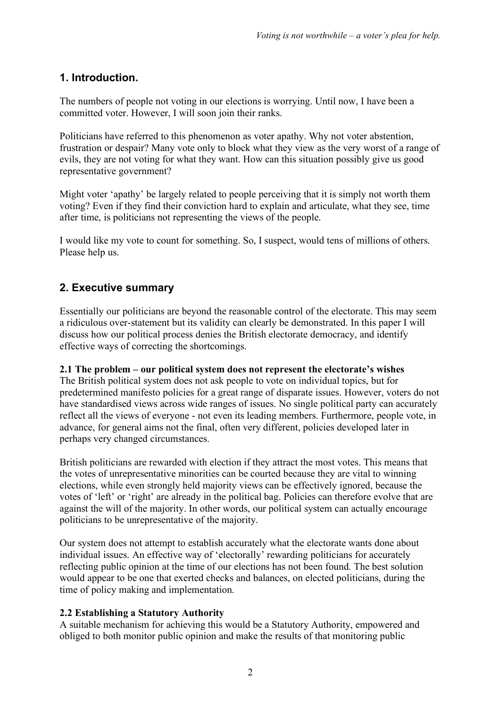## **1. Introduction.**

The numbers of people not voting in our elections is worrying. Until now, I have been a committed voter. However, I will soon join their ranks.

Politicians have referred to this phenomenon as voter apathy. Why not voter abstention, frustration or despair? Many vote only to block what they view as the very worst of a range of evils, they are not voting for what they want. How can this situation possibly give us good representative government?

Might voter 'apathy' be largely related to people perceiving that it is simply not worth them voting? Even if they find their conviction hard to explain and articulate, what they see, time after time, is politicians not representing the views of the people.

I would like my vote to count for something. So, I suspect, would tens of millions of others. Please help us.

## **2. Executive summary**

Essentially our politicians are beyond the reasonable control of the electorate. This may seem a ridiculous over-statement but its validity can clearly be demonstrated. In this paper I will discuss how our political process denies the British electorate democracy, and identify effective ways of correcting the shortcomings.

#### **2.1 The problem – our political system does not represent the electorate's wishes**

The British political system does not ask people to vote on individual topics, but for predetermined manifesto policies for a great range of disparate issues. However, voters do not have standardised views across wide ranges of issues. No single political party can accurately reflect all the views of everyone - not even its leading members. Furthermore, people vote, in advance, for general aims not the final, often very different, policies developed later in perhaps very changed circumstances.

British politicians are rewarded with election if they attract the most votes. This means that the votes of unrepresentative minorities can be courted because they are vital to winning elections, while even strongly held majority views can be effectively ignored, because the votes of 'left' or 'right' are already in the political bag. Policies can therefore evolve that are against the will of the majority. In other words, our political system can actually encourage politicians to be unrepresentative of the majority.

Our system does not attempt to establish accurately what the electorate wants done about individual issues. An effective way of 'electorally' rewarding politicians for accurately reflecting public opinion at the time of our elections has not been found. The best solution would appear to be one that exerted checks and balances, on elected politicians, during the time of policy making and implementation.

#### **2.2 Establishing a Statutory Authority**

A suitable mechanism for achieving this would be a Statutory Authority, empowered and obliged to both monitor public opinion and make the results of that monitoring public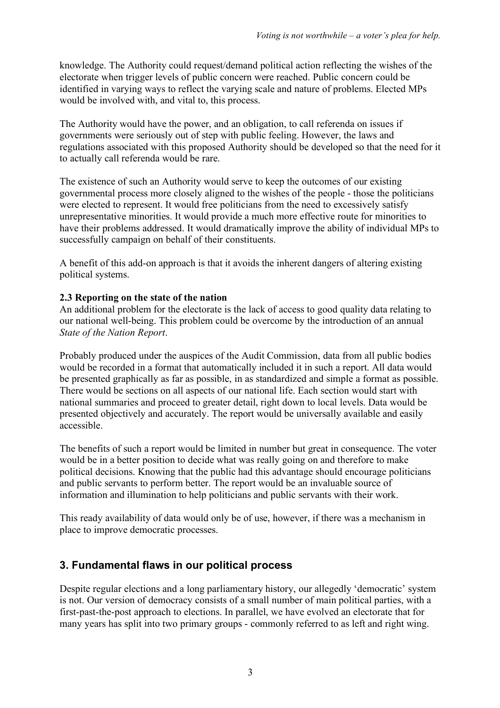knowledge. The Authority could request/demand political action reflecting the wishes of the electorate when trigger levels of public concern were reached. Public concern could be identified in varying ways to reflect the varying scale and nature of problems. Elected MPs would be involved with, and vital to, this process.

The Authority would have the power, and an obligation, to call referenda on issues if governments were seriously out of step with public feeling. However, the laws and regulations associated with this proposed Authority should be developed so that the need for it to actually call referenda would be rare.

The existence of such an Authority would serve to keep the outcomes of our existing governmental process more closely aligned to the wishes of the people - those the politicians were elected to represent. It would free politicians from the need to excessively satisfy unrepresentative minorities. It would provide a much more effective route for minorities to have their problems addressed. It would dramatically improve the ability of individual MPs to successfully campaign on behalf of their constituents.

A benefit of this add-on approach is that it avoids the inherent dangers of altering existing political systems.

#### **2.3 Reporting on the state of the nation**

An additional problem for the electorate is the lack of access to good quality data relating to our national well-being. This problem could be overcome by the introduction of an annual *State of the Nation Report*.

Probably produced under the auspices of the Audit Commission, data from all public bodies would be recorded in a format that automatically included it in such a report. All data would be presented graphically as far as possible, in as standardized and simple a format as possible. There would be sections on all aspects of our national life. Each section would start with national summaries and proceed to greater detail, right down to local levels. Data would be presented objectively and accurately. The report would be universally available and easily accessible.

The benefits of such a report would be limited in number but great in consequence. The voter would be in a better position to decide what was really going on and therefore to make political decisions. Knowing that the public had this advantage should encourage politicians and public servants to perform better. The report would be an invaluable source of information and illumination to help politicians and public servants with their work.

This ready availability of data would only be of use, however, if there was a mechanism in place to improve democratic processes.

## **3. Fundamental flaws in our political process**

Despite regular elections and a long parliamentary history, our allegedly 'democratic' system is not. Our version of democracy consists of a small number of main political parties, with a first-past-the-post approach to elections. In parallel, we have evolved an electorate that for many years has split into two primary groups - commonly referred to as left and right wing.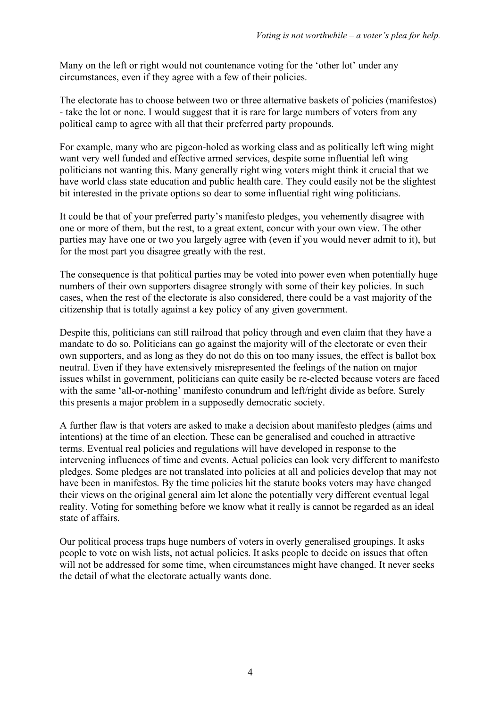Many on the left or right would not countenance voting for the 'other lot' under any circumstances, even if they agree with a few of their policies.

The electorate has to choose between two or three alternative baskets of policies (manifestos) - take the lot or none. I would suggest that it is rare for large numbers of voters from any political camp to agree with all that their preferred party propounds.

For example, many who are pigeon-holed as working class and as politically left wing might want very well funded and effective armed services, despite some influential left wing politicians not wanting this. Many generally right wing voters might think it crucial that we have world class state education and public health care. They could easily not be the slightest bit interested in the private options so dear to some influential right wing politicians.

It could be that of your preferred party's manifesto pledges, you vehemently disagree with one or more of them, but the rest, to a great extent, concur with your own view. The other parties may have one or two you largely agree with (even if you would never admit to it), but for the most part you disagree greatly with the rest.

The consequence is that political parties may be voted into power even when potentially huge numbers of their own supporters disagree strongly with some of their key policies. In such cases, when the rest of the electorate is also considered, there could be a vast majority of the citizenship that is totally against a key policy of any given government.

Despite this, politicians can still railroad that policy through and even claim that they have a mandate to do so. Politicians can go against the majority will of the electorate or even their own supporters, and as long as they do not do this on too many issues, the effect is ballot box neutral. Even if they have extensively misrepresented the feelings of the nation on major issues whilst in government, politicians can quite easily be re-elected because voters are faced with the same 'all-or-nothing' manifesto conundrum and left/right divide as before. Surely this presents a major problem in a supposedly democratic society.

A further flaw is that voters are asked to make a decision about manifesto pledges (aims and intentions) at the time of an election. These can be generalised and couched in attractive terms. Eventual real policies and regulations will have developed in response to the intervening influences of time and events. Actual policies can look very different to manifesto pledges. Some pledges are not translated into policies at all and policies develop that may not have been in manifestos. By the time policies hit the statute books voters may have changed their views on the original general aim let alone the potentially very different eventual legal reality. Voting for something before we know what it really is cannot be regarded as an ideal state of affairs.

Our political process traps huge numbers of voters in overly generalised groupings. It asks people to vote on wish lists, not actual policies. It asks people to decide on issues that often will not be addressed for some time, when circumstances might have changed. It never seeks the detail of what the electorate actually wants done.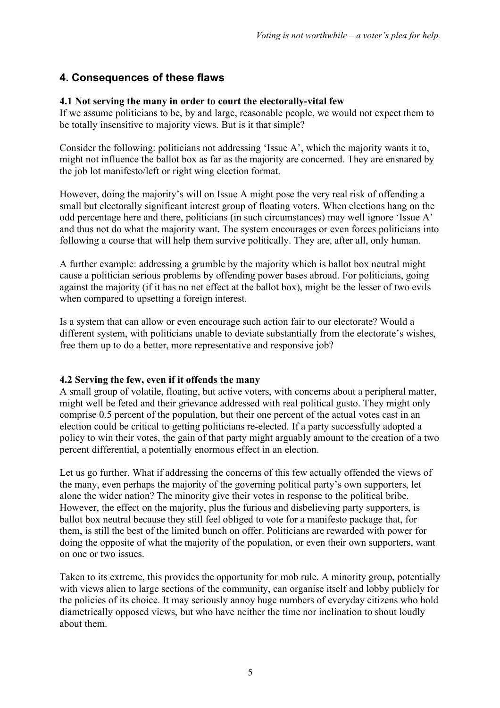### **4. Consequences of these flaws**

#### **4.1 Not serving the many in order to court the electorally-vital few**

If we assume politicians to be, by and large, reasonable people, we would not expect them to be totally insensitive to majority views. But is it that simple?

Consider the following: politicians not addressing 'Issue A', which the majority wants it to, might not influence the ballot box as far as the majority are concerned. They are ensnared by the job lot manifesto/left or right wing election format.

However, doing the majority's will on Issue A might pose the very real risk of offending a small but electorally significant interest group of floating voters. When elections hang on the odd percentage here and there, politicians (in such circumstances) may well ignore 'Issue A' and thus not do what the majority want. The system encourages or even forces politicians into following a course that will help them survive politically. They are, after all, only human.

A further example: addressing a grumble by the majority which is ballot box neutral might cause a politician serious problems by offending power bases abroad. For politicians, going against the majority (if it has no net effect at the ballot box), might be the lesser of two evils when compared to upsetting a foreign interest.

Is a system that can allow or even encourage such action fair to our electorate? Would a different system, with politicians unable to deviate substantially from the electorate's wishes, free them up to do a better, more representative and responsive job?

#### **4.2 Serving the few, even if it offends the many**

A small group of volatile, floating, but active voters, with concerns about a peripheral matter, might well be feted and their grievance addressed with real political gusto. They might only comprise 0.5 percent of the population, but their one percent of the actual votes cast in an election could be critical to getting politicians re-elected. If a party successfully adopted a policy to win their votes, the gain of that party might arguably amount to the creation of a two percent differential, a potentially enormous effect in an election.

Let us go further. What if addressing the concerns of this few actually offended the views of the many, even perhaps the majority of the governing political party's own supporters, let alone the wider nation? The minority give their votes in response to the political bribe. However, the effect on the majority, plus the furious and disbelieving party supporters, is ballot box neutral because they still feel obliged to vote for a manifesto package that, for them, is still the best of the limited bunch on offer. Politicians are rewarded with power for doing the opposite of what the majority of the population, or even their own supporters, want on one or two issues.

Taken to its extreme, this provides the opportunity for mob rule. A minority group, potentially with views alien to large sections of the community, can organise itself and lobby publicly for the policies of its choice. It may seriously annoy huge numbers of everyday citizens who hold diametrically opposed views, but who have neither the time nor inclination to shout loudly about them.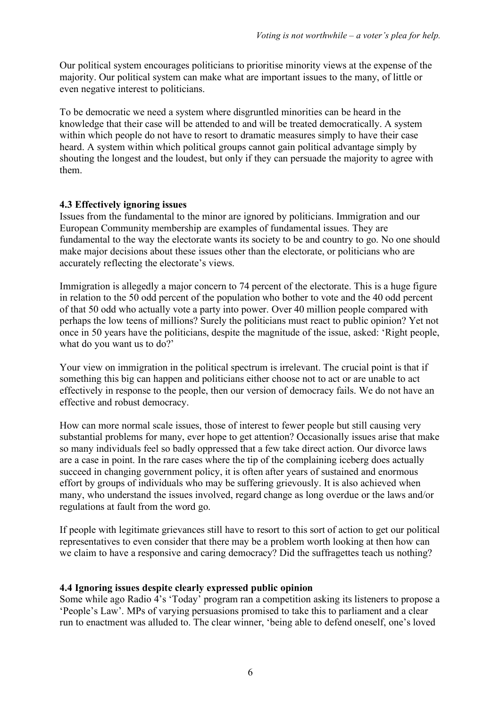Our political system encourages politicians to prioritise minority views at the expense of the majority. Our political system can make what are important issues to the many, of little or even negative interest to politicians.

To be democratic we need a system where disgruntled minorities can be heard in the knowledge that their case will be attended to and will be treated democratically. A system within which people do not have to resort to dramatic measures simply to have their case heard. A system within which political groups cannot gain political advantage simply by shouting the longest and the loudest, but only if they can persuade the majority to agree with them.

#### **4.3 Effectively ignoring issues**

Issues from the fundamental to the minor are ignored by politicians. Immigration and our European Community membership are examples of fundamental issues. They are fundamental to the way the electorate wants its society to be and country to go. No one should make major decisions about these issues other than the electorate, or politicians who are accurately reflecting the electorate's views.

Immigration is allegedly a major concern to 74 percent of the electorate. This is a huge figure in relation to the 50 odd percent of the population who bother to vote and the 40 odd percent of that 50 odd who actually vote a party into power. Over 40 million people compared with perhaps the low teens of millions? Surely the politicians must react to public opinion? Yet not once in 50 years have the politicians, despite the magnitude of the issue, asked: 'Right people, what do you want us to do?'

Your view on immigration in the political spectrum is irrelevant. The crucial point is that if something this big can happen and politicians either choose not to act or are unable to act effectively in response to the people, then our version of democracy fails. We do not have an effective and robust democracy.

How can more normal scale issues, those of interest to fewer people but still causing very substantial problems for many, ever hope to get attention? Occasionally issues arise that make so many individuals feel so badly oppressed that a few take direct action. Our divorce laws are a case in point. In the rare cases where the tip of the complaining iceberg does actually succeed in changing government policy, it is often after years of sustained and enormous effort by groups of individuals who may be suffering grievously. It is also achieved when many, who understand the issues involved, regard change as long overdue or the laws and/or regulations at fault from the word go.

If people with legitimate grievances still have to resort to this sort of action to get our political representatives to even consider that there may be a problem worth looking at then how can we claim to have a responsive and caring democracy? Did the suffragettes teach us nothing?

#### **4.4 Ignoring issues despite clearly expressed public opinion**

Some while ago Radio 4's 'Today' program ran a competition asking its listeners to propose a 'People's Law'. MPs of varying persuasions promised to take this to parliament and a clear run to enactment was alluded to. The clear winner, 'being able to defend oneself, one's loved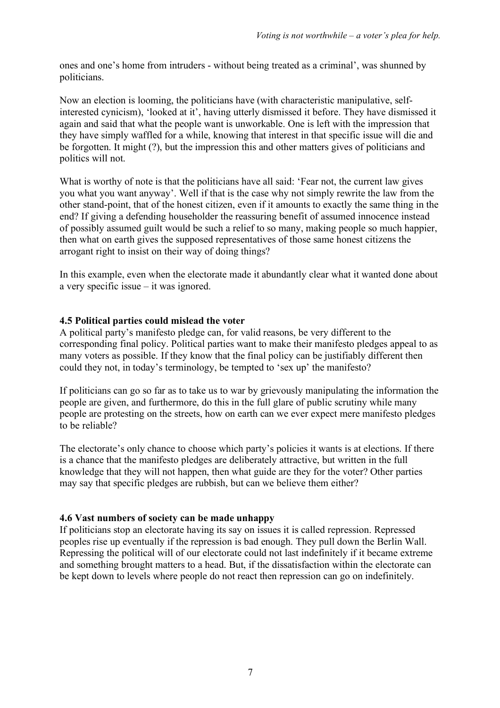ones and one's home from intruders - without being treated as a criminal', was shunned by politicians.

Now an election is looming, the politicians have (with characteristic manipulative, selfinterested cynicism), 'looked at it', having utterly dismissed it before. They have dismissed it again and said that what the people want is unworkable. One is left with the impression that they have simply waffled for a while, knowing that interest in that specific issue will die and be forgotten. It might (?), but the impression this and other matters gives of politicians and politics will not.

What is worthy of note is that the politicians have all said: 'Fear not, the current law gives you what you want anyway'. Well if that is the case why not simply rewrite the law from the other stand-point, that of the honest citizen, even if it amounts to exactly the same thing in the end? If giving a defending householder the reassuring benefit of assumed innocence instead of possibly assumed guilt would be such a relief to so many, making people so much happier, then what on earth gives the supposed representatives of those same honest citizens the arrogant right to insist on their way of doing things?

In this example, even when the electorate made it abundantly clear what it wanted done about a very specific issue – it was ignored.

#### **4.5 Political parties could mislead the voter**

A political party's manifesto pledge can, for valid reasons, be very different to the corresponding final policy. Political parties want to make their manifesto pledges appeal to as many voters as possible. If they know that the final policy can be justifiably different then could they not, in today's terminology, be tempted to 'sex up' the manifesto?

If politicians can go so far as to take us to war by grievously manipulating the information the people are given, and furthermore, do this in the full glare of public scrutiny while many people are protesting on the streets, how on earth can we ever expect mere manifesto pledges to be reliable?

The electorate's only chance to choose which party's policies it wants is at elections. If there is a chance that the manifesto pledges are deliberately attractive, but written in the full knowledge that they will not happen, then what guide are they for the voter? Other parties may say that specific pledges are rubbish, but can we believe them either?

#### **4.6 Vast numbers of society can be made unhappy**

If politicians stop an electorate having its say on issues it is called repression. Repressed peoples rise up eventually if the repression is bad enough. They pull down the Berlin Wall. Repressing the political will of our electorate could not last indefinitely if it became extreme and something brought matters to a head. But, if the dissatisfaction within the electorate can be kept down to levels where people do not react then repression can go on indefinitely.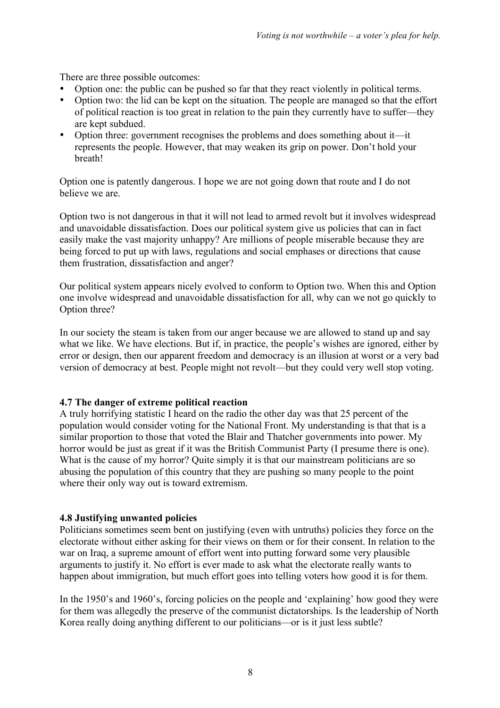There are three possible outcomes:

- Option one: the public can be pushed so far that they react violently in political terms.
- Option two: the lid can be kept on the situation. The people are managed so that the effort of political reaction is too great in relation to the pain they currently have to suffer—they are kept subdued.
- Option three: government recognises the problems and does something about it—it represents the people. However, that may weaken its grip on power. Don't hold your breath!

Option one is patently dangerous. I hope we are not going down that route and I do not believe we are.

Option two is not dangerous in that it will not lead to armed revolt but it involves widespread and unavoidable dissatisfaction. Does our political system give us policies that can in fact easily make the vast majority unhappy? Are millions of people miserable because they are being forced to put up with laws, regulations and social emphases or directions that cause them frustration, dissatisfaction and anger?

Our political system appears nicely evolved to conform to Option two. When this and Option one involve widespread and unavoidable dissatisfaction for all, why can we not go quickly to Option three?

In our society the steam is taken from our anger because we are allowed to stand up and say what we like. We have elections. But if, in practice, the people's wishes are ignored, either by error or design, then our apparent freedom and democracy is an illusion at worst or a very bad version of democracy at best. People might not revolt—but they could very well stop voting.

#### **4.7 The danger of extreme political reaction**

A truly horrifying statistic I heard on the radio the other day was that 25 percent of the population would consider voting for the National Front. My understanding is that that is a similar proportion to those that voted the Blair and Thatcher governments into power. My horror would be just as great if it was the British Communist Party (I presume there is one). What is the cause of my horror? Quite simply it is that our mainstream politicians are so abusing the population of this country that they are pushing so many people to the point where their only way out is toward extremism.

#### **4.8 Justifying unwanted policies**

Politicians sometimes seem bent on justifying (even with untruths) policies they force on the electorate without either asking for their views on them or for their consent. In relation to the war on Iraq, a supreme amount of effort went into putting forward some very plausible arguments to justify it. No effort is ever made to ask what the electorate really wants to happen about immigration, but much effort goes into telling voters how good it is for them.

In the 1950's and 1960's, forcing policies on the people and 'explaining' how good they were for them was allegedly the preserve of the communist dictatorships. Is the leadership of North Korea really doing anything different to our politicians—or is it just less subtle?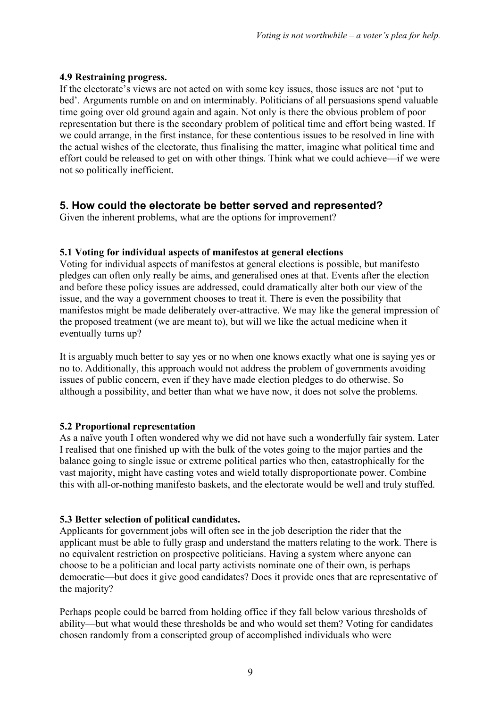#### **4.9 Restraining progress.**

If the electorate's views are not acted on with some key issues, those issues are not 'put to bed'. Arguments rumble on and on interminably. Politicians of all persuasions spend valuable time going over old ground again and again. Not only is there the obvious problem of poor representation but there is the secondary problem of political time and effort being wasted. If we could arrange, in the first instance, for these contentious issues to be resolved in line with the actual wishes of the electorate, thus finalising the matter, imagine what political time and effort could be released to get on with other things. Think what we could achieve—if we were not so politically inefficient.

## **5. How could the electorate be better served and represented?**

Given the inherent problems, what are the options for improvement?

#### **5.1 Voting for individual aspects of manifestos at general elections**

Voting for individual aspects of manifestos at general elections is possible, but manifesto pledges can often only really be aims, and generalised ones at that. Events after the election and before these policy issues are addressed, could dramatically alter both our view of the issue, and the way a government chooses to treat it. There is even the possibility that manifestos might be made deliberately over-attractive. We may like the general impression of the proposed treatment (we are meant to), but will we like the actual medicine when it eventually turns up?

It is arguably much better to say yes or no when one knows exactly what one is saying yes or no to. Additionally, this approach would not address the problem of governments avoiding issues of public concern, even if they have made election pledges to do otherwise. So although a possibility, and better than what we have now, it does not solve the problems.

#### **5.2 Proportional representation**

As a naïve youth I often wondered why we did not have such a wonderfully fair system. Later I realised that one finished up with the bulk of the votes going to the major parties and the balance going to single issue or extreme political parties who then, catastrophically for the vast majority, might have casting votes and wield totally disproportionate power. Combine this with all-or-nothing manifesto baskets, and the electorate would be well and truly stuffed.

#### **5.3 Better selection of political candidates.**

Applicants for government jobs will often see in the job description the rider that the applicant must be able to fully grasp and understand the matters relating to the work. There is no equivalent restriction on prospective politicians. Having a system where anyone can choose to be a politician and local party activists nominate one of their own, is perhaps democratic—but does it give good candidates? Does it provide ones that are representative of the majority?

Perhaps people could be barred from holding office if they fall below various thresholds of ability—but what would these thresholds be and who would set them? Voting for candidates chosen randomly from a conscripted group of accomplished individuals who were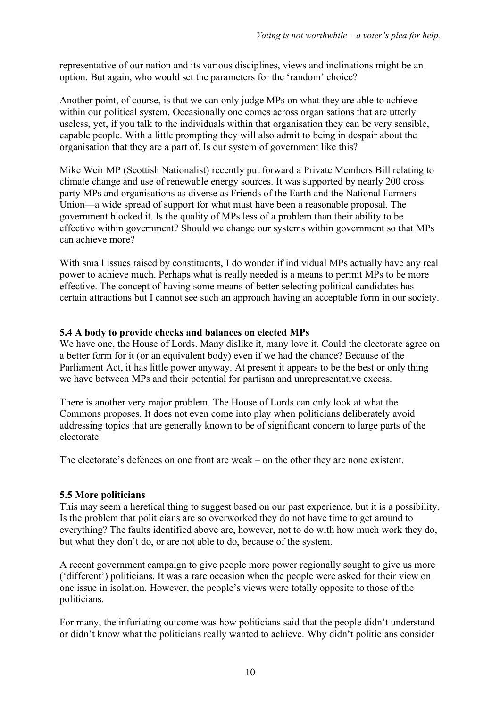representative of our nation and its various disciplines, views and inclinations might be an option. But again, who would set the parameters for the 'random' choice?

Another point, of course, is that we can only judge MPs on what they are able to achieve within our political system. Occasionally one comes across organisations that are utterly useless, yet, if you talk to the individuals within that organisation they can be very sensible, capable people. With a little prompting they will also admit to being in despair about the organisation that they are a part of. Is our system of government like this?

Mike Weir MP (Scottish Nationalist) recently put forward a Private Members Bill relating to climate change and use of renewable energy sources. It was supported by nearly 200 cross party MPs and organisations as diverse as Friends of the Earth and the National Farmers Union—a wide spread of support for what must have been a reasonable proposal. The government blocked it. Is the quality of MPs less of a problem than their ability to be effective within government? Should we change our systems within government so that MPs can achieve more?

With small issues raised by constituents, I do wonder if individual MPs actually have any real power to achieve much. Perhaps what is really needed is a means to permit MPs to be more effective. The concept of having some means of better selecting political candidates has certain attractions but I cannot see such an approach having an acceptable form in our society.

#### **5.4 A body to provide checks and balances on elected MPs**

We have one, the House of Lords. Many dislike it, many love it. Could the electorate agree on a better form for it (or an equivalent body) even if we had the chance? Because of the Parliament Act, it has little power anyway. At present it appears to be the best or only thing we have between MPs and their potential for partisan and unrepresentative excess.

There is another very major problem. The House of Lords can only look at what the Commons proposes. It does not even come into play when politicians deliberately avoid addressing topics that are generally known to be of significant concern to large parts of the electorate.

The electorate's defences on one front are weak – on the other they are none existent.

#### **5.5 More politicians**

This may seem a heretical thing to suggest based on our past experience, but it is a possibility. Is the problem that politicians are so overworked they do not have time to get around to everything? The faults identified above are, however, not to do with how much work they do, but what they don't do, or are not able to do, because of the system.

A recent government campaign to give people more power regionally sought to give us more ('different') politicians. It was a rare occasion when the people were asked for their view on one issue in isolation. However, the people's views were totally opposite to those of the politicians.

For many, the infuriating outcome was how politicians said that the people didn't understand or didn't know what the politicians really wanted to achieve. Why didn't politicians consider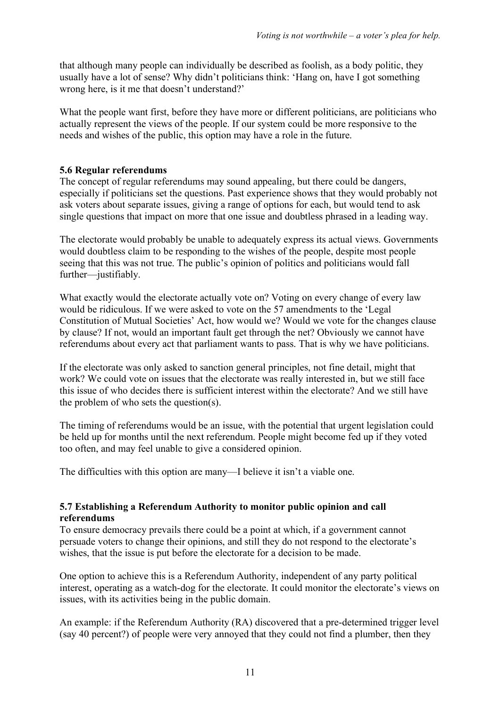that although many people can individually be described as foolish, as a body politic, they usually have a lot of sense? Why didn't politicians think: 'Hang on, have I got something wrong here, is it me that doesn't understand?'

What the people want first, before they have more or different politicians, are politicians who actually represent the views of the people. If our system could be more responsive to the needs and wishes of the public, this option may have a role in the future.

#### **5.6 Regular referendums**

The concept of regular referendums may sound appealing, but there could be dangers, especially if politicians set the questions. Past experience shows that they would probably not ask voters about separate issues, giving a range of options for each, but would tend to ask single questions that impact on more that one issue and doubtless phrased in a leading way.

The electorate would probably be unable to adequately express its actual views. Governments would doubtless claim to be responding to the wishes of the people, despite most people seeing that this was not true. The public's opinion of politics and politicians would fall further—justifiably.

What exactly would the electorate actually vote on? Voting on every change of every law would be ridiculous. If we were asked to vote on the 57 amendments to the 'Legal Constitution of Mutual Societies' Act, how would we? Would we vote for the changes clause by clause? If not, would an important fault get through the net? Obviously we cannot have referendums about every act that parliament wants to pass. That is why we have politicians.

If the electorate was only asked to sanction general principles, not fine detail, might that work? We could vote on issues that the electorate was really interested in, but we still face this issue of who decides there is sufficient interest within the electorate? And we still have the problem of who sets the question(s).

The timing of referendums would be an issue, with the potential that urgent legislation could be held up for months until the next referendum. People might become fed up if they voted too often, and may feel unable to give a considered opinion.

The difficulties with this option are many—I believe it isn't a viable one.

#### **5.7 Establishing a Referendum Authority to monitor public opinion and call referendums**

To ensure democracy prevails there could be a point at which, if a government cannot persuade voters to change their opinions, and still they do not respond to the electorate's wishes, that the issue is put before the electorate for a decision to be made.

One option to achieve this is a Referendum Authority, independent of any party political interest, operating as a watch-dog for the electorate. It could monitor the electorate's views on issues, with its activities being in the public domain.

An example: if the Referendum Authority (RA) discovered that a pre-determined trigger level (say 40 percent?) of people were very annoyed that they could not find a plumber, then they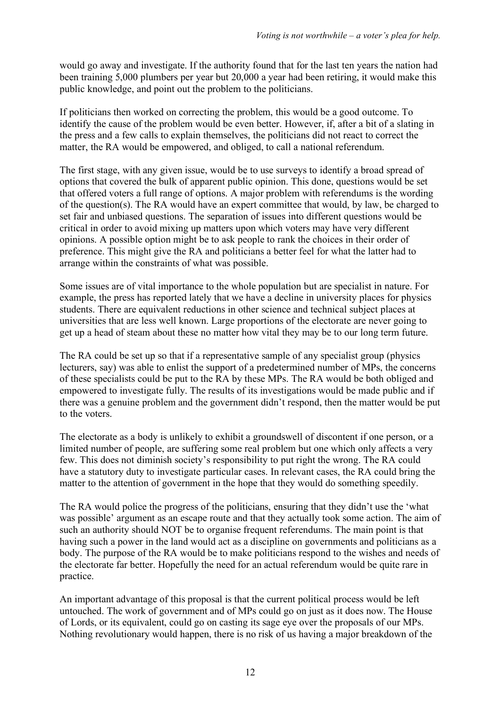would go away and investigate. If the authority found that for the last ten years the nation had been training 5,000 plumbers per year but 20,000 a year had been retiring, it would make this public knowledge, and point out the problem to the politicians.

If politicians then worked on correcting the problem, this would be a good outcome. To identify the cause of the problem would be even better. However, if, after a bit of a slating in the press and a few calls to explain themselves, the politicians did not react to correct the matter, the RA would be empowered, and obliged, to call a national referendum.

The first stage, with any given issue, would be to use surveys to identify a broad spread of options that covered the bulk of apparent public opinion. This done, questions would be set that offered voters a full range of options. A major problem with referendums is the wording of the question(s). The RA would have an expert committee that would, by law, be charged to set fair and unbiased questions. The separation of issues into different questions would be critical in order to avoid mixing up matters upon which voters may have very different opinions. A possible option might be to ask people to rank the choices in their order of preference. This might give the RA and politicians a better feel for what the latter had to arrange within the constraints of what was possible.

Some issues are of vital importance to the whole population but are specialist in nature. For example, the press has reported lately that we have a decline in university places for physics students. There are equivalent reductions in other science and technical subject places at universities that are less well known. Large proportions of the electorate are never going to get up a head of steam about these no matter how vital they may be to our long term future.

The RA could be set up so that if a representative sample of any specialist group (physics lecturers, say) was able to enlist the support of a predetermined number of MPs, the concerns of these specialists could be put to the RA by these MPs. The RA would be both obliged and empowered to investigate fully. The results of its investigations would be made public and if there was a genuine problem and the government didn't respond, then the matter would be put to the voters.

The electorate as a body is unlikely to exhibit a groundswell of discontent if one person, or a limited number of people, are suffering some real problem but one which only affects a very few. This does not diminish society's responsibility to put right the wrong. The RA could have a statutory duty to investigate particular cases. In relevant cases, the RA could bring the matter to the attention of government in the hope that they would do something speedily.

The RA would police the progress of the politicians, ensuring that they didn't use the 'what was possible' argument as an escape route and that they actually took some action. The aim of such an authority should NOT be to organise frequent referendums. The main point is that having such a power in the land would act as a discipline on governments and politicians as a body. The purpose of the RA would be to make politicians respond to the wishes and needs of the electorate far better. Hopefully the need for an actual referendum would be quite rare in practice.

An important advantage of this proposal is that the current political process would be left untouched. The work of government and of MPs could go on just as it does now. The House of Lords, or its equivalent, could go on casting its sage eye over the proposals of our MPs. Nothing revolutionary would happen, there is no risk of us having a major breakdown of the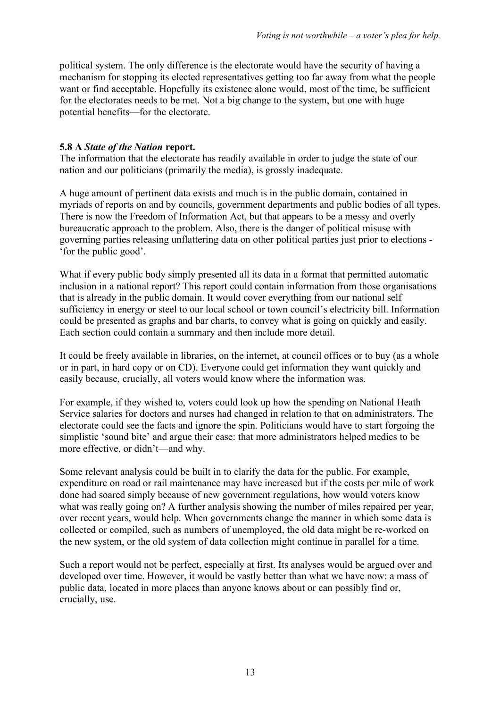political system. The only difference is the electorate would have the security of having a mechanism for stopping its elected representatives getting too far away from what the people want or find acceptable. Hopefully its existence alone would, most of the time, be sufficient for the electorates needs to be met. Not a big change to the system, but one with huge potential benefits—for the electorate.

#### **5.8 A** *State of the Nation* **report.**

The information that the electorate has readily available in order to judge the state of our nation and our politicians (primarily the media), is grossly inadequate.

A huge amount of pertinent data exists and much is in the public domain, contained in myriads of reports on and by councils, government departments and public bodies of all types. There is now the Freedom of Information Act, but that appears to be a messy and overly bureaucratic approach to the problem. Also, there is the danger of political misuse with governing parties releasing unflattering data on other political parties just prior to elections - 'for the public good'.

What if every public body simply presented all its data in a format that permitted automatic inclusion in a national report? This report could contain information from those organisations that is already in the public domain. It would cover everything from our national self sufficiency in energy or steel to our local school or town council's electricity bill. Information could be presented as graphs and bar charts, to convey what is going on quickly and easily. Each section could contain a summary and then include more detail.

It could be freely available in libraries, on the internet, at council offices or to buy (as a whole or in part, in hard copy or on CD). Everyone could get information they want quickly and easily because, crucially, all voters would know where the information was.

For example, if they wished to, voters could look up how the spending on National Heath Service salaries for doctors and nurses had changed in relation to that on administrators. The electorate could see the facts and ignore the spin. Politicians would have to start forgoing the simplistic 'sound bite' and argue their case: that more administrators helped medics to be more effective, or didn't—and why.

Some relevant analysis could be built in to clarify the data for the public. For example, expenditure on road or rail maintenance may have increased but if the costs per mile of work done had soared simply because of new government regulations, how would voters know what was really going on? A further analysis showing the number of miles repaired per year, over recent years, would help. When governments change the manner in which some data is collected or compiled, such as numbers of unemployed, the old data might be re-worked on the new system, or the old system of data collection might continue in parallel for a time.

Such a report would not be perfect, especially at first. Its analyses would be argued over and developed over time. However, it would be vastly better than what we have now: a mass of public data, located in more places than anyone knows about or can possibly find or, crucially, use.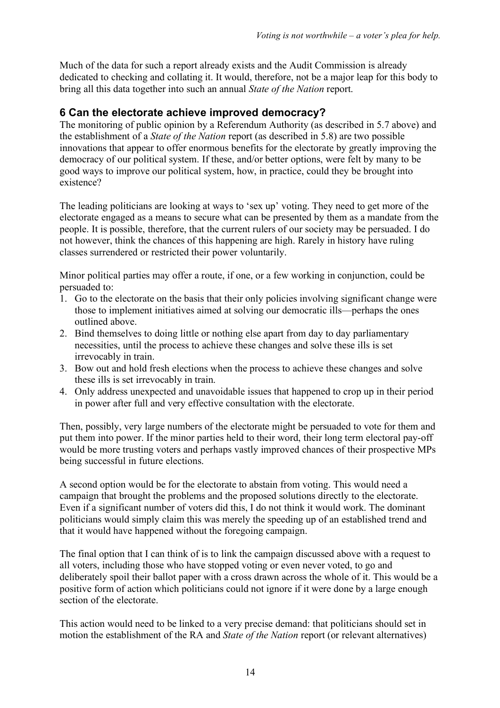Much of the data for such a report already exists and the Audit Commission is already dedicated to checking and collating it. It would, therefore, not be a major leap for this body to bring all this data together into such an annual *State of the Nation* report.

## **6 Can the electorate achieve improved democracy?**

The monitoring of public opinion by a Referendum Authority (as described in 5.7 above) and the establishment of a *State of the Nation* report (as described in 5.8) are two possible innovations that appear to offer enormous benefits for the electorate by greatly improving the democracy of our political system. If these, and/or better options, were felt by many to be good ways to improve our political system, how, in practice, could they be brought into existence?

The leading politicians are looking at ways to 'sex up' voting. They need to get more of the electorate engaged as a means to secure what can be presented by them as a mandate from the people. It is possible, therefore, that the current rulers of our society may be persuaded. I do not however, think the chances of this happening are high. Rarely in history have ruling classes surrendered or restricted their power voluntarily.

Minor political parties may offer a route, if one, or a few working in conjunction, could be persuaded to:

- 1. Go to the electorate on the basis that their only policies involving significant change were those to implement initiatives aimed at solving our democratic ills—perhaps the ones outlined above.
- 2. Bind themselves to doing little or nothing else apart from day to day parliamentary necessities, until the process to achieve these changes and solve these ills is set irrevocably in train.
- 3. Bow out and hold fresh elections when the process to achieve these changes and solve these ills is set irrevocably in train.
- 4. Only address unexpected and unavoidable issues that happened to crop up in their period in power after full and very effective consultation with the electorate.

Then, possibly, very large numbers of the electorate might be persuaded to vote for them and put them into power. If the minor parties held to their word, their long term electoral pay-off would be more trusting voters and perhaps vastly improved chances of their prospective MPs being successful in future elections.

A second option would be for the electorate to abstain from voting. This would need a campaign that brought the problems and the proposed solutions directly to the electorate. Even if a significant number of voters did this, I do not think it would work. The dominant politicians would simply claim this was merely the speeding up of an established trend and that it would have happened without the foregoing campaign.

The final option that I can think of is to link the campaign discussed above with a request to all voters, including those who have stopped voting or even never voted, to go and deliberately spoil their ballot paper with a cross drawn across the whole of it. This would be a positive form of action which politicians could not ignore if it were done by a large enough section of the electorate.

This action would need to be linked to a very precise demand: that politicians should set in motion the establishment of the RA and *State of the Nation* report (or relevant alternatives)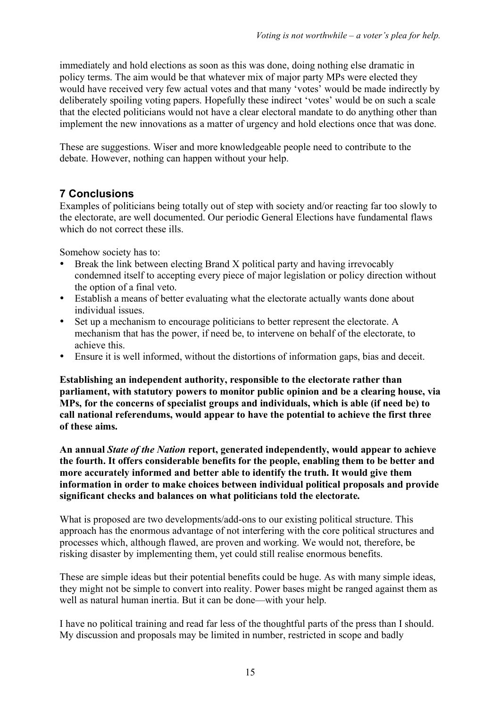immediately and hold elections as soon as this was done, doing nothing else dramatic in policy terms. The aim would be that whatever mix of major party MPs were elected they would have received very few actual votes and that many 'votes' would be made indirectly by deliberately spoiling voting papers. Hopefully these indirect 'votes' would be on such a scale that the elected politicians would not have a clear electoral mandate to do anything other than implement the new innovations as a matter of urgency and hold elections once that was done.

These are suggestions. Wiser and more knowledgeable people need to contribute to the debate. However, nothing can happen without your help.

## **7 Conclusions**

Examples of politicians being totally out of step with society and/or reacting far too slowly to the electorate, are well documented. Our periodic General Elections have fundamental flaws which do not correct these ills.

Somehow society has to:

- Break the link between electing Brand X political party and having irrevocably condemned itself to accepting every piece of major legislation or policy direction without the option of a final veto.
- Establish a means of better evaluating what the electorate actually wants done about individual issues.
- Set up a mechanism to encourage politicians to better represent the electorate. A mechanism that has the power, if need be, to intervene on behalf of the electorate, to achieve this.
- Ensure it is well informed, without the distortions of information gaps, bias and deceit.

**Establishing an independent authority, responsible to the electorate rather than parliament, with statutory powers to monitor public opinion and be a clearing house, via MPs, for the concerns of specialist groups and individuals, which is able (if need be) to call national referendums, would appear to have the potential to achieve the first three of these aims.**

**An annual** *State of the Nation* **report, generated independently, would appear to achieve the fourth. It offers considerable benefits for the people, enabling them to be better and more accurately informed and better able to identify the truth. It would give them information in order to make choices between individual political proposals and provide significant checks and balances on what politicians told the electorate.**

What is proposed are two developments/add-ons to our existing political structure. This approach has the enormous advantage of not interfering with the core political structures and processes which, although flawed, are proven and working. We would not, therefore, be risking disaster by implementing them, yet could still realise enormous benefits.

These are simple ideas but their potential benefits could be huge. As with many simple ideas, they might not be simple to convert into reality. Power bases might be ranged against them as well as natural human inertia. But it can be done—with your help.

I have no political training and read far less of the thoughtful parts of the press than I should. My discussion and proposals may be limited in number, restricted in scope and badly